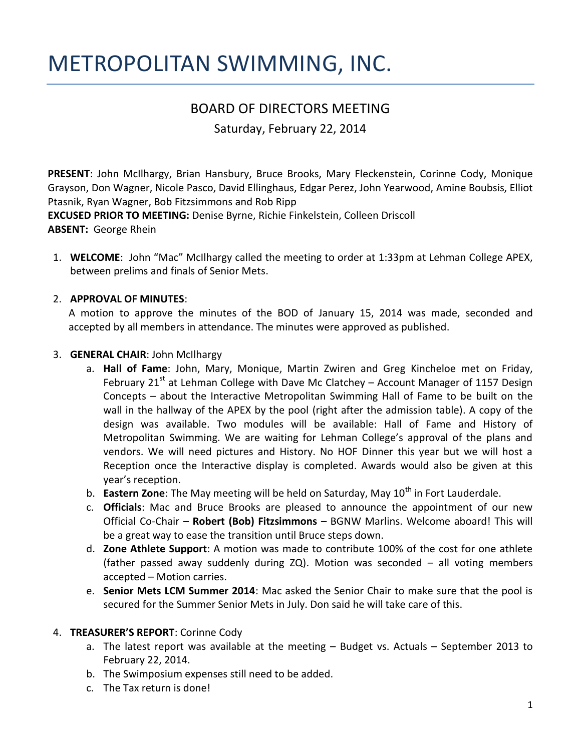# METROPOLITAN SWIMMING, INC.

## BOARD OF DIRECTORS MEETING

Saturday, February 22, 2014

**PRESENT**: John McIlhargy, Brian Hansbury, Bruce Brooks, Mary Fleckenstein, Corinne Cody, Monique Grayson, Don Wagner, Nicole Pasco, David Ellinghaus, Edgar Perez, John Yearwood, Amine Boubsis, Elliot Ptasnik, Ryan Wagner, Bob Fitzsimmons and Rob Ripp

**EXCUSED PRIOR TO MEETING:** Denise Byrne, Richie Finkelstein, Colleen Driscoll

- **ABSENT:** George Rhein
- 1. **WELCOME**: John "Mac" McIlhargy called the meeting to order at 1:33pm at Lehman College APEX, between prelims and finals of Senior Mets.

#### 2. **APPROVAL OF MINUTES**:

A motion to approve the minutes of the BOD of January 15, 2014 was made, seconded and accepted by all members in attendance. The minutes were approved as published.

#### 3. **GENERAL CHAIR**: John McIlhargy

- a. **Hall of Fame**: John, Mary, Monique, Martin Zwiren and Greg Kincheloe met on Friday, February 21<sup>st</sup> at Lehman College with Dave Mc Clatchey – Account Manager of 1157 Design Concepts – about the Interactive Metropolitan Swimming Hall of Fame to be built on the wall in the hallway of the APEX by the pool (right after the admission table). A copy of the design was available. Two modules will be available: Hall of Fame and History of Metropolitan Swimming. We are waiting for Lehman College's approval of the plans and vendors. We will need pictures and History. No HOF Dinner this year but we will host a Reception once the Interactive display is completed. Awards would also be given at this year's reception.
- b. **Eastern Zone**: The May meeting will be held on Saturday, May 10<sup>th</sup> in Fort Lauderdale.
- c. **Officials**: Mac and Bruce Brooks are pleased to announce the appointment of our new Official Co-Chair – **Robert (Bob) Fitzsimmons** – BGNW Marlins. Welcome aboard! This will be a great way to ease the transition until Bruce steps down.
- d. **Zone Athlete Support**: A motion was made to contribute 100% of the cost for one athlete (father passed away suddenly during ZQ). Motion was seconded – all voting members accepted – Motion carries.
- e. **Senior Mets LCM Summer 2014**: Mac asked the Senior Chair to make sure that the pool is secured for the Summer Senior Mets in July. Don said he will take care of this.

## 4. **TREASURER'S REPORT**: Corinne Cody

- a. The latest report was available at the meeting Budget vs. Actuals September 2013 to February 22, 2014.
- b. The Swimposium expenses still need to be added.
- c. The Tax return is done!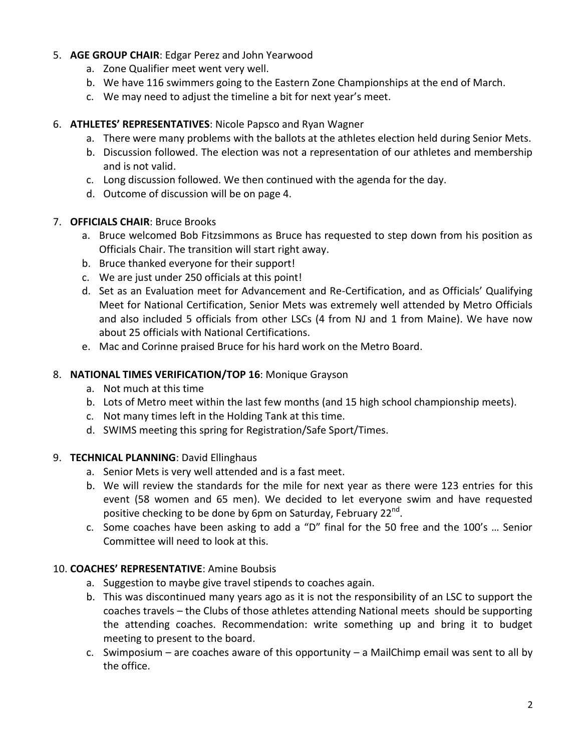## 5. **AGE GROUP CHAIR**: Edgar Perez and John Yearwood

- a. Zone Qualifier meet went very well.
- b. We have 116 swimmers going to the Eastern Zone Championships at the end of March.
- c. We may need to adjust the timeline a bit for next year's meet.

## 6. **ATHLETES' REPRESENTATIVES**: Nicole Papsco and Ryan Wagner

- a. There were many problems with the ballots at the athletes election held during Senior Mets.
- b. Discussion followed. The election was not a representation of our athletes and membership and is not valid.
- c. Long discussion followed. We then continued with the agenda for the day.
- d. Outcome of discussion will be on page 4.

## 7. **OFFICIALS CHAIR**: Bruce Brooks

- a. Bruce welcomed Bob Fitzsimmons as Bruce has requested to step down from his position as Officials Chair. The transition will start right away.
- b. Bruce thanked everyone for their support!
- c. We are just under 250 officials at this point!
- d. Set as an Evaluation meet for Advancement and Re-Certification, and as Officials' Qualifying Meet for National Certification, Senior Mets was extremely well attended by Metro Officials and also included 5 officials from other LSCs (4 from NJ and 1 from Maine). We have now about 25 officials with National Certifications.
- e. Mac and Corinne praised Bruce for his hard work on the Metro Board.

## 8. **NATIONAL TIMES VERIFICATION/TOP 16**: Monique Grayson

- a. Not much at this time
- b. Lots of Metro meet within the last few months (and 15 high school championship meets).
- c. Not many times left in the Holding Tank at this time.
- d. SWIMS meeting this spring for Registration/Safe Sport/Times.

## 9. **TECHNICAL PLANNING**: David Ellinghaus

- a. Senior Mets is very well attended and is a fast meet.
- b. We will review the standards for the mile for next year as there were 123 entries for this event (58 women and 65 men). We decided to let everyone swim and have requested positive checking to be done by 6pm on Saturday, February 22<sup>nd</sup>.
- c. Some coaches have been asking to add a "D" final for the 50 free and the 100's … Senior Committee will need to look at this.

## 10. **COACHES' REPRESENTATIVE**: Amine Boubsis

- a. Suggestion to maybe give travel stipends to coaches again.
- b. This was discontinued many years ago as it is not the responsibility of an LSC to support the coaches travels – the Clubs of those athletes attending National meets should be supporting the attending coaches. Recommendation: write something up and bring it to budget meeting to present to the board.
- c. Swimposium are coaches aware of this opportunity a MailChimp email was sent to all by the office.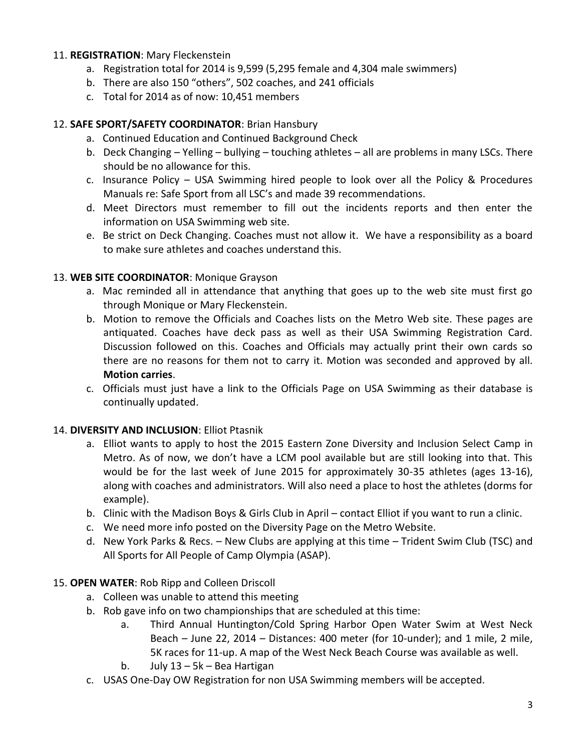#### 11. **REGISTRATION**: Mary Fleckenstein

- a. Registration total for 2014 is 9,599 (5,295 female and 4,304 male swimmers)
- b. There are also 150 "others", 502 coaches, and 241 officials
- c. Total for 2014 as of now: 10,451 members

#### 12. **SAFE SPORT/SAFETY COORDINATOR**: Brian Hansbury

- a. Continued Education and Continued Background Check
- b. Deck Changing Yelling bullying touching athletes all are problems in many LSCs. There should be no allowance for this.
- c. Insurance Policy USA Swimming hired people to look over all the Policy & Procedures Manuals re: Safe Sport from all LSC's and made 39 recommendations.
- d. Meet Directors must remember to fill out the incidents reports and then enter the information on USA Swimming web site.
- e. Be strict on Deck Changing. Coaches must not allow it. We have a responsibility as a board to make sure athletes and coaches understand this.

#### 13. **WEB SITE COORDINATOR**: Monique Grayson

- a. Mac reminded all in attendance that anything that goes up to the web site must first go through Monique or Mary Fleckenstein.
- b. Motion to remove the Officials and Coaches lists on the Metro Web site. These pages are antiquated. Coaches have deck pass as well as their USA Swimming Registration Card. Discussion followed on this. Coaches and Officials may actually print their own cards so there are no reasons for them not to carry it. Motion was seconded and approved by all. **Motion carries**.
- c. Officials must just have a link to the Officials Page on USA Swimming as their database is continually updated.

## 14. **DIVERSITY AND INCLUSION**: Elliot Ptasnik

- a. Elliot wants to apply to host the 2015 Eastern Zone Diversity and Inclusion Select Camp in Metro. As of now, we don't have a LCM pool available but are still looking into that. This would be for the last week of June 2015 for approximately 30-35 athletes (ages 13-16), along with coaches and administrators. Will also need a place to host the athletes (dorms for example).
- b. Clinic with the Madison Boys & Girls Club in April contact Elliot if you want to run a clinic.
- c. We need more info posted on the Diversity Page on the Metro Website.
- d. New York Parks & Recs. New Clubs are applying at this time Trident Swim Club (TSC) and All Sports for All People of Camp Olympia (ASAP).

#### 15. **OPEN WATER**: Rob Ripp and Colleen Driscoll

- a. Colleen was unable to attend this meeting
- b. Rob gave info on two championships that are scheduled at this time:
	- a. Third Annual Huntington/Cold Spring Harbor Open Water Swim at West Neck Beach – June 22, 2014 – Distances: 400 meter (for 10-under); and 1 mile, 2 mile, 5K races for 11-up. A map of the West Neck Beach Course was available as well.
	- b. July 13 5k Bea Hartigan
- c. USAS One-Day OW Registration for non USA Swimming members will be accepted.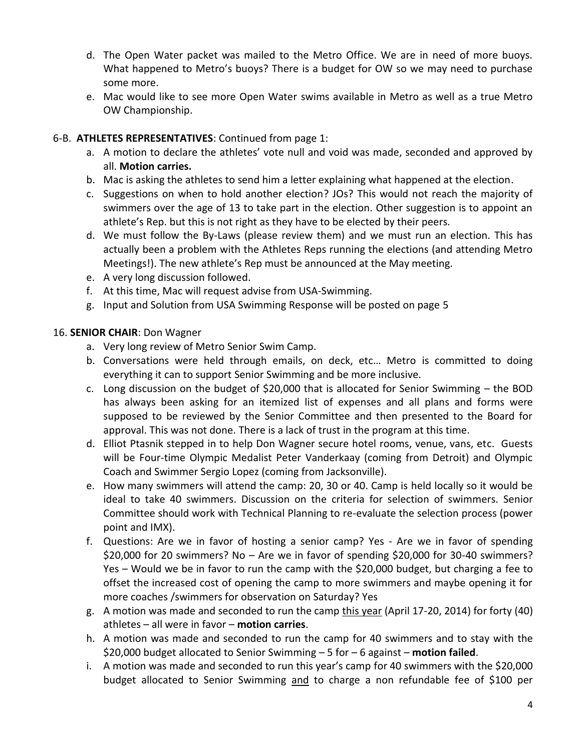- d. The Open Water packet was mailed to the Metro Office. We are in need of more buoys. What happened to Metro's buoys? There is a budget for OW so we may need to purchase some more.
- e. Mac would like to see more Open Water swims available in Metro as well as a true Metro OW Championship.

## 6-B. **ATHLETES REPRESENTATIVES**: Continued from page 1:

- a. A motion to declare the athletes' vote null and void was made, seconded and approved by all. **Motion carries.**
- b. Mac is asking the athletes to send him a letter explaining what happened at the election.
- c. Suggestions on when to hold another election? JOs? This would not reach the majority of swimmers over the age of 13 to take part in the election. Other suggestion is to appoint an athlete's Rep. but this is not right as they have to be elected by their peers.
- d. We must follow the By-Laws (please review them) and we must run an election. This has actually been a problem with the Athletes Reps running the elections (and attending Metro Meetings!). The new athlete's Rep must be announced at the May meeting.
- e. A very long discussion followed.
- f. At this time, Mac will request advise from USA-Swimming.
- g. Input and Solution from USA Swimming Response will be posted on page 5

## 16. **SENIOR CHAIR**: Don Wagner

- a. Very long review of Metro Senior Swim Camp.
- b. Conversations were held through emails, on deck, etc… Metro is committed to doing everything it can to support Senior Swimming and be more inclusive.
- c. Long discussion on the budget of \$20,000 that is allocated for Senior Swimming the BOD has always been asking for an itemized list of expenses and all plans and forms were supposed to be reviewed by the Senior Committee and then presented to the Board for approval. This was not done. There is a lack of trust in the program at this time.
- d. Elliot Ptasnik stepped in to help Don Wagner secure hotel rooms, venue, vans, etc. Guests will be Four-time Olympic Medalist Peter Vanderkaay (coming from Detroit) and Olympic Coach and Swimmer Sergio Lopez (coming from Jacksonville).
- e. How many swimmers will attend the camp: 20, 30 or 40. Camp is held locally so it would be ideal to take 40 swimmers. Discussion on the criteria for selection of swimmers. Senior Committee should work with Technical Planning to re-evaluate the selection process (power point and IMX).
- f. Questions: Are we in favor of hosting a senior camp? Yes Are we in favor of spending \$20,000 for 20 swimmers? No – Are we in favor of spending \$20,000 for 30-40 swimmers? Yes – Would we be in favor to run the camp with the \$20,000 budget, but charging a fee to offset the increased cost of opening the camp to more swimmers and maybe opening it for more coaches /swimmers for observation on Saturday? Yes
- g. A motion was made and seconded to run the camp this year (April 17-20, 2014) for forty (40) athletes – all were in favor – **motion carries**.
- h. A motion was made and seconded to run the camp for 40 swimmers and to stay with the \$20,000 budget allocated to Senior Swimming – 5 for – 6 against – **motion failed**.
- i. A motion was made and seconded to run this year's camp for 40 swimmers with the \$20,000 budget allocated to Senior Swimming and to charge a non refundable fee of \$100 per